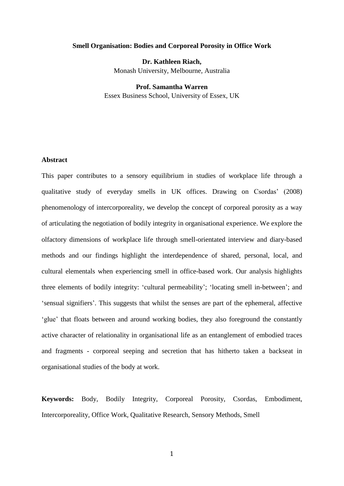### **Smell Organisation: Bodies and Corporeal Porosity in Office Work**

**Dr. Kathleen Riach,** Monash University, Melbourne, Australia

**Prof. Samantha Warren** Essex Business School, University of Essex, UK

# **Abstract**

This paper contributes to a sensory equilibrium in studies of workplace life through a qualitative study of everyday smells in UK offices. Drawing on Csordas' (2008) phenomenology of intercorporeality, we develop the concept of corporeal porosity as a way of articulating the negotiation of bodily integrity in organisational experience. We explore the olfactory dimensions of workplace life through smell-orientated interview and diary-based methods and our findings highlight the interdependence of shared, personal, local, and cultural elementals when experiencing smell in office-based work. Our analysis highlights three elements of bodily integrity: 'cultural permeability'; 'locating smell in-between'; and 'sensual signifiers'. This suggests that whilst the senses are part of the ephemeral, affective 'glue' that floats between and around working bodies, they also foreground the constantly active character of relationality in organisational life as an entanglement of embodied traces and fragments - corporeal seeping and secretion that has hitherto taken a backseat in organisational studies of the body at work.

**Keywords:** Body, Bodily Integrity, Corporeal Porosity, Csordas, Embodiment, Intercorporeality, Office Work, Qualitative Research, Sensory Methods, Smell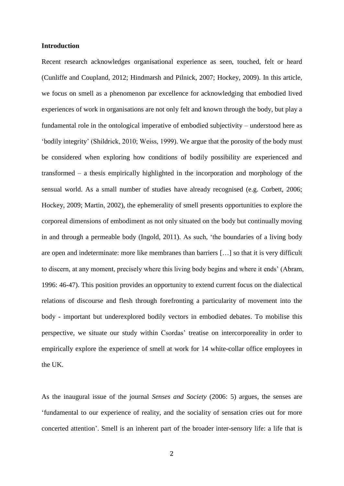## **Introduction**

Recent research acknowledges organisational experience as seen, touched, felt or heard (Cunliffe and Coupland, 2012; Hindmarsh and Pilnick, 2007; Hockey, 2009). In this article, we focus on smell as a phenomenon par excellence for acknowledging that embodied lived experiences of work in organisations are not only felt and known through the body, but play a fundamental role in the ontological imperative of embodied subjectivity – understood here as 'bodily integrity' (Shildrick, 2010; Weiss, 1999). We argue that the porosity of the body must be considered when exploring how conditions of bodily possibility are experienced and transformed – a thesis empirically highlighted in the incorporation and morphology of the sensual world. As a small number of studies have already recognised (e.g. Corbett, 2006; Hockey, 2009; Martin, 2002), the ephemerality of smell presents opportunities to explore the corporeal dimensions of embodiment as not only situated on the body but continually moving in and through a permeable body (Ingold, 2011). As such, 'the boundaries of a living body are open and indeterminate: more like membranes than barriers […] so that it is very difficult to discern, at any moment, precisely where this living body begins and where it ends' (Abram, 1996: 46-47). This position provides an opportunity to extend current focus on the dialectical relations of discourse and flesh through forefronting a particularity of movement into the body - important but underexplored bodily vectors in embodied debates. To mobilise this perspective, we situate our study within Csordas' treatise on intercorporeality in order to empirically explore the experience of smell at work for 14 white-collar office employees in the UK.

As the inaugural issue of the journal *Senses and Society* (2006: 5) argues, the senses are 'fundamental to our experience of reality, and the sociality of sensation cries out for more concerted attention'. Smell is an inherent part of the broader inter-sensory life: a life that is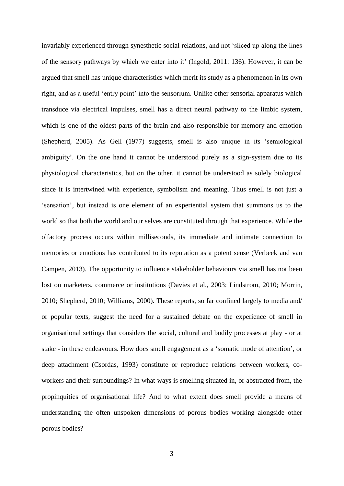invariably experienced through synesthetic social relations, and not 'sliced up along the lines of the sensory pathways by which we enter into it' (Ingold, 2011: 136). However, it can be argued that smell has unique characteristics which merit its study as a phenomenon in its own right, and as a useful 'entry point' into the sensorium. Unlike other sensorial apparatus which transduce via electrical impulses, smell has a direct neural pathway to the limbic system, which is one of the oldest parts of the brain and also responsible for memory and emotion (Shepherd, 2005). As Gell (1977) suggests, smell is also unique in its 'semiological ambiguity'. On the one hand it cannot be understood purely as a sign-system due to its physiological characteristics, but on the other, it cannot be understood as solely biological since it is intertwined with experience, symbolism and meaning. Thus smell is not just a 'sensation', but instead is one element of an experiential system that summons us to the world so that both the world and our selves are constituted through that experience. While the olfactory process occurs within milliseconds, its immediate and intimate connection to memories or emotions has contributed to its reputation as a potent sense (Verbeek and van Campen, 2013). The opportunity to influence stakeholder behaviours via smell has not been lost on marketers, commerce or institutions (Davies et al., 2003; Lindstrom, 2010; Morrin, 2010; Shepherd, 2010; Williams, 2000). These reports, so far confined largely to media and/ or popular texts, suggest the need for a sustained debate on the experience of smell in organisational settings that considers the social, cultural and bodily processes at play - or at stake - in these endeavours. How does smell engagement as a 'somatic mode of attention', or deep attachment (Csordas, 1993) constitute or reproduce relations between workers, coworkers and their surroundings? In what ways is smelling situated in, or abstracted from, the propinquities of organisational life? And to what extent does smell provide a means of understanding the often unspoken dimensions of porous bodies working alongside other porous bodies?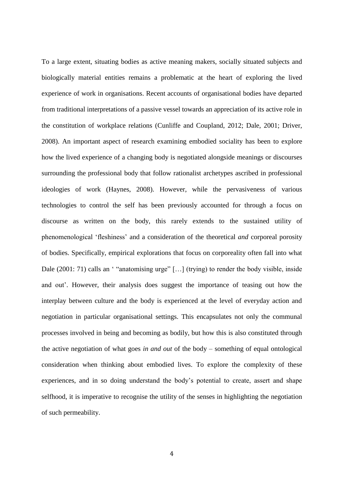To a large extent, situating bodies as active meaning makers, socially situated subjects and biologically material entities remains a problematic at the heart of exploring the lived experience of work in organisations. Recent accounts of organisational bodies have departed from traditional interpretations of a passive vessel towards an appreciation of its active role in the constitution of workplace relations (Cunliffe and Coupland, 2012; Dale, 2001; Driver, 2008). An important aspect of research examining embodied sociality has been to explore how the lived experience of a changing body is negotiated alongside meanings or discourses surrounding the professional body that follow rationalist archetypes ascribed in professional ideologies of work (Haynes, 2008). However, while the pervasiveness of various technologies to control the self has been previously accounted for through a focus on discourse as written on the body, this rarely extends to the sustained utility of phenomenological 'fleshiness' and a consideration of the theoretical *and* corporeal porosity of bodies. Specifically, empirical explorations that focus on corporeality often fall into what Dale (2001: 71) calls an ' "anatomising urge" [...] (trying) to render the body visible, inside and out'. However, their analysis does suggest the importance of teasing out how the interplay between culture and the body is experienced at the level of everyday action and negotiation in particular organisational settings. This encapsulates not only the communal processes involved in being and becoming as bodily, but how this is also constituted through the active negotiation of what goes *in and out* of the body – something of equal ontological consideration when thinking about embodied lives. To explore the complexity of these experiences, and in so doing understand the body's potential to create, assert and shape selfhood, it is imperative to recognise the utility of the senses in highlighting the negotiation of such permeability.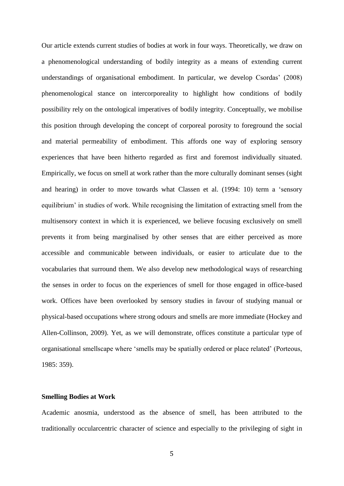Our article extends current studies of bodies at work in four ways. Theoretically, we draw on a phenomenological understanding of bodily integrity as a means of extending current understandings of organisational embodiment. In particular, we develop Csordas' (2008) phenomenological stance on intercorporeality to highlight how conditions of bodily possibility rely on the ontological imperatives of bodily integrity. Conceptually, we mobilise this position through developing the concept of corporeal porosity to foreground the social and material permeability of embodiment. This affords one way of exploring sensory experiences that have been hitherto regarded as first and foremost individually situated. Empirically, we focus on smell at work rather than the more culturally dominant senses (sight and hearing) in order to move towards what Classen et al. (1994: 10) term a 'sensory equilibrium' in studies of work. While recognising the limitation of extracting smell from the multisensory context in which it is experienced, we believe focusing exclusively on smell prevents it from being marginalised by other senses that are either perceived as more accessible and communicable between individuals, or easier to articulate due to the vocabularies that surround them. We also develop new methodological ways of researching the senses in order to focus on the experiences of smell for those engaged in office-based work. Offices have been overlooked by sensory studies in favour of studying manual or physical-based occupations where strong odours and smells are more immediate (Hockey and Allen-Collinson, 2009). Yet, as we will demonstrate, offices constitute a particular type of organisational smellscape where 'smells may be spatially ordered or place related' (Porteous, 1985: 359).

## **Smelling Bodies at Work**

Academic anosmia, understood as the absence of smell, has been attributed to the traditionally occularcentric character of science and especially to the privileging of sight in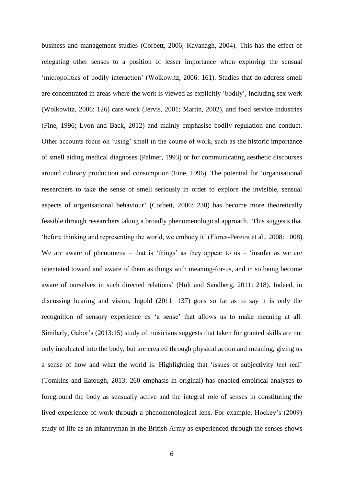business and management studies (Corbett, 2006; Kavanagh, 2004). This has the effect of relegating other senses to a position of lesser importance when exploring the sensual 'micropolitics of bodily interaction' (Wolkowitz, 2006: 161). Studies that do address smell are concentrated in areas where the work is viewed as explicitly 'bodily', including sex work (Wolkowitz, 2006: 126) care work (Jervis, 2001; Martin, 2002), and food service industries (Fine, 1996; Lyon and Back, 2012) and mainly emphasise bodily regulation and conduct. Other accounts focus on 'using' smell in the course of work, such as the historic importance of smell aiding medical diagnoses (Palmer, 1993) or for communicating aesthetic discourses around culinary production and consumption (Fine, 1996). The potential for 'organisational researchers to take the sense of smell seriously in order to explore the invisible, sensual aspects of organisational behaviour' (Corbett, 2006: 230) has become more theoretically feasible through researchers taking a broadly phenomenological approach. This suggests that 'before thinking and representing the world, we embody it' (Flores-Pereira et al., 2008: 1008). We are aware of phenomena – that is 'things' as they appear to us – 'insofar as we are orientated toward and aware of them as things with meaning-for-us, and in so being become aware of ourselves in such directed relations' (Holt and Sandberg, 2011: 218). Indeed, in discussing hearing and vision, Ingold (2011: 137) goes so far as to say it is only the recognition of sensory experience *as* 'a sense' that allows us to make meaning at all. Similarly, Gabor's (2013:15) study of musicians suggests that taken for granted skills are not only inculcated into the body, but are created through physical action and meaning, giving us a sense of how and what the world is. Highlighting that 'issues of subjectivity *feel* real' (Tomkins and Eatough, 2013: 260 emphasis in original) has enabled empirical analyses to foreground the body as sensually active and the integral role of senses in constituting the lived experience of work through a phenomenological lens. For example, Hockey's (2009) study of life as an infantryman in the British Army as experienced through the senses shows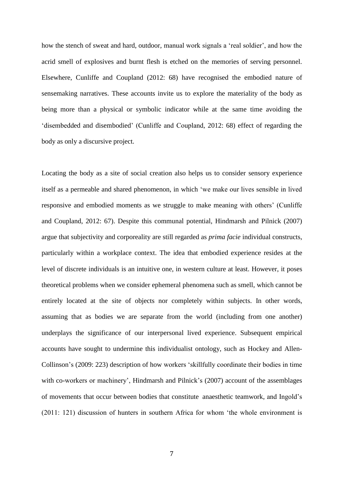how the stench of sweat and hard, outdoor, manual work signals a 'real soldier', and how the acrid smell of explosives and burnt flesh is etched on the memories of serving personnel. Elsewhere, Cunliffe and Coupland (2012: 68) have recognised the embodied nature of sensemaking narratives. These accounts invite us to explore the materiality of the body as being more than a physical or symbolic indicator while at the same time avoiding the 'disembedded and disembodied' (Cunliffe and Coupland, 2012: 68) effect of regarding the body as only a discursive project.

Locating the body as a site of social creation also helps us to consider sensory experience itself as a permeable and shared phenomenon, in which 'we make our lives sensible in lived responsive and embodied moments as we struggle to make meaning with others' (Cunliffe and Coupland, 2012: 67). Despite this communal potential, Hindmarsh and Pilnick (2007) argue that subjectivity and corporeality are still regarded as *prima facie* individual constructs, particularly within a workplace context. The idea that embodied experience resides at the level of discrete individuals is an intuitive one, in western culture at least. However, it poses theoretical problems when we consider ephemeral phenomena such as smell, which cannot be entirely located at the site of objects nor completely within subjects. In other words, assuming that as bodies we are separate from the world (including from one another) underplays the significance of our interpersonal lived experience. Subsequent empirical accounts have sought to undermine this individualist ontology, such as Hockey and Allen-Collinson's (2009: 223) description of how workers 'skillfully coordinate their bodies in time with co-workers or machinery', Hindmarsh and Pilnick's (2007) account of the assemblages of movements that occur between bodies that constitute anaesthetic teamwork, and Ingold's (2011: 121) discussion of hunters in southern Africa for whom 'the whole environment is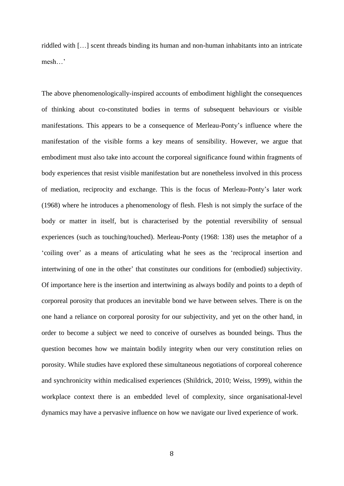riddled with […] scent threads binding its human and non-human inhabitants into an intricate mesh…'

The above phenomenologically-inspired accounts of embodiment highlight the consequences of thinking about co-constituted bodies in terms of subsequent behaviours or visible manifestations. This appears to be a consequence of Merleau-Ponty's influence where the manifestation of the visible forms a key means of sensibility. However, we argue that embodiment must also take into account the corporeal significance found within fragments of body experiences that resist visible manifestation but are nonetheless involved in this process of mediation, reciprocity and exchange. This is the focus of Merleau-Ponty's later work (1968) where he introduces a phenomenology of flesh. Flesh is not simply the surface of the body or matter in itself, but is characterised by the potential reversibility of sensual experiences (such as touching/touched). Merleau-Ponty (1968: 138) uses the metaphor of a 'coiling over' as a means of articulating what he sees as the 'reciprocal insertion and intertwining of one in the other' that constitutes our conditions for (embodied) subjectivity. Of importance here is the insertion and intertwining as always bodily and points to a depth of corporeal porosity that produces an inevitable bond we have between selves. There is on the one hand a reliance on corporeal porosity for our subjectivity, and yet on the other hand, in order to become a subject we need to conceive of ourselves as bounded beings. Thus the question becomes how we maintain bodily integrity when our very constitution relies on porosity. While studies have explored these simultaneous negotiations of corporeal coherence and synchronicity within medicalised experiences (Shildrick, 2010; Weiss, 1999), within the workplace context there is an embedded level of complexity, since organisational-level dynamics may have a pervasive influence on how we navigate our lived experience of work.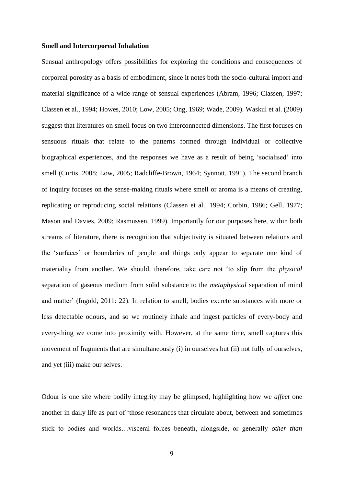## **Smell and Intercorporeal Inhalation**

Sensual anthropology offers possibilities for exploring the conditions and consequences of corporeal porosity as a basis of embodiment, since it notes both the socio-cultural import and material significance of a wide range of sensual experiences (Abram, 1996; Classen, 1997; Classen et al., 1994; Howes, 2010; Low, 2005; Ong, 1969; Wade, 2009). Waskul et al. (2009) suggest that literatures on smell focus on two interconnected dimensions. The first focuses on sensuous rituals that relate to the patterns formed through individual or collective biographical experiences, and the responses we have as a result of being 'socialised' into smell (Curtis, 2008; Low, 2005; Radcliffe-Brown, 1964; Synnott, 1991). The second branch of inquiry focuses on the sense-making rituals where smell or aroma is a means of creating, replicating or reproducing social relations (Classen et al., 1994; Corbin, 1986; Gell, 1977; Mason and Davies, 2009; Rasmussen, 1999). Importantly for our purposes here, within both streams of literature, there is recognition that subjectivity is situated between relations and the 'surfaces' or boundaries of people and things only appear to separate one kind of materiality from another. We should, therefore, take care not 'to slip from the *physical* separation of gaseous medium from solid substance to the *metaphysical* separation of mind and matter' (Ingold, 2011: 22). In relation to smell, bodies excrete substances with more or less detectable odours, and so we routinely inhale and ingest particles of every-body and every-thing we come into proximity with. However, at the same time, smell captures this movement of fragments that are simultaneously (i) in ourselves but (ii) not fully of ourselves, and yet (iii) make our selves.

Odour is one site where bodily integrity may be glimpsed, highlighting how we *affect* one another in daily life as part of 'those resonances that circulate about, between and sometimes stick to bodies and worlds…visceral forces beneath, alongside, or generally *other than*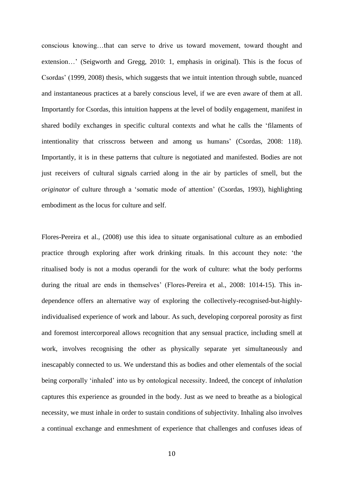conscious knowing…that can serve to drive us toward movement, toward thought and extension…' (Seigworth and Gregg, 2010: 1, emphasis in original). This is the focus of Csordas' (1999, 2008) thesis, which suggests that we intuit intention through subtle, nuanced and instantaneous practices at a barely conscious level, if we are even aware of them at all. Importantly for Csordas, this intuition happens at the level of bodily engagement, manifest in shared bodily exchanges in specific cultural contexts and what he calls the 'filaments of intentionality that crisscross between and among us humans' (Csordas, 2008: 118). Importantly, it is in these patterns that culture is negotiated and manifested. Bodies are not just receivers of cultural signals carried along in the air by particles of smell, but the *originator* of culture through a 'somatic mode of attention' (Csordas, 1993), highlighting embodiment as the locus for culture and self.

Flores-Pereira et al., (2008) use this idea to situate organisational culture as an embodied practice through exploring after work drinking rituals. In this account they note: 'the ritualised body is not a modus operandi for the work of culture: what the body performs during the ritual are ends in themselves' (Flores-Pereira et al., 2008: 1014-15). This independence offers an alternative way of exploring the collectively-recognised-but-highlyindividualised experience of work and labour. As such, developing corporeal porosity as first and foremost intercorporeal allows recognition that any sensual practice, including smell at work, involves recognising the other as physically separate yet simultaneously and inescapably connected to us. We understand this as bodies and other elementals of the social being corporally 'inhaled' into us by ontological necessity. Indeed, the concept of *inhalation* captures this experience as grounded in the body. Just as we need to breathe as a biological necessity, we must inhale in order to sustain conditions of subjectivity. Inhaling also involves a continual exchange and enmeshment of experience that challenges and confuses ideas of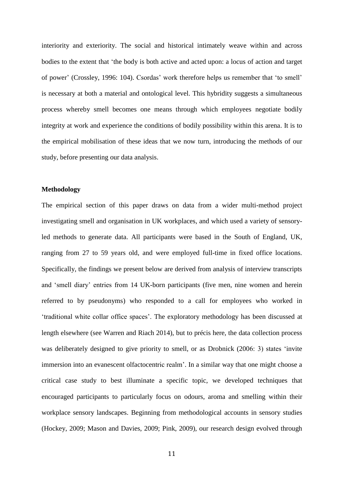interiority and exteriority. The social and historical intimately weave within and across bodies to the extent that 'the body is both active and acted upon: a locus of action and target of power' (Crossley, 1996: 104). Csordas' work therefore helps us remember that 'to smell' is necessary at both a material and ontological level. This hybridity suggests a simultaneous process whereby smell becomes one means through which employees negotiate bodily integrity at work and experience the conditions of bodily possibility within this arena. It is to the empirical mobilisation of these ideas that we now turn, introducing the methods of our study, before presenting our data analysis.

## **Methodology**

The empirical section of this paper draws on data from a wider multi-method project investigating smell and organisation in UK workplaces, and which used a variety of sensoryled methods to generate data. All participants were based in the South of England, UK, ranging from 27 to 59 years old, and were employed full-time in fixed office locations. Specifically, the findings we present below are derived from analysis of interview transcripts and 'smell diary' entries from 14 UK-born participants (five men, nine women and herein referred to by pseudonyms) who responded to a call for employees who worked in 'traditional white collar office spaces'. The exploratory methodology has been discussed at length elsewhere (see Warren and Riach 2014), but to précis here, the data collection process was deliberately designed to give priority to smell, or as Drobnick (2006: 3) states 'invite immersion into an evanescent olfactocentric realm'. In a similar way that one might choose a critical case study to best illuminate a specific topic, we developed techniques that encouraged participants to particularly focus on odours, aroma and smelling within their workplace sensory landscapes. Beginning from methodological accounts in sensory studies (Hockey, 2009; Mason and Davies, 2009; Pink, 2009), our research design evolved through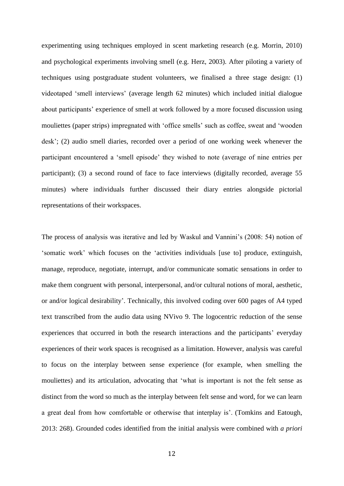experimenting using techniques employed in scent marketing research (e.g. Morrin, 2010) and psychological experiments involving smell (e.g. Herz, 2003). After piloting a variety of techniques using postgraduate student volunteers, we finalised a three stage design: (1) videotaped 'smell interviews' (average length 62 minutes) which included initial dialogue about participants' experience of smell at work followed by a more focused discussion using mouliettes (paper strips) impregnated with 'office smells' such as coffee, sweat and 'wooden desk'; (2) audio smell diaries, recorded over a period of one working week whenever the participant encountered a 'smell episode' they wished to note (average of nine entries per participant); (3) a second round of face to face interviews (digitally recorded, average 55 minutes) where individuals further discussed their diary entries alongside pictorial representations of their workspaces.

The process of analysis was iterative and led by Waskul and Vannini's (2008: 54) notion of 'somatic work' which focuses on the 'activities individuals [use to] produce, extinguish, manage, reproduce, negotiate, interrupt, and/or communicate somatic sensations in order to make them congruent with personal, interpersonal, and/or cultural notions of moral, aesthetic, or and/or logical desirability'. Technically, this involved coding over 600 pages of A4 typed text transcribed from the audio data using NVivo 9. The logocentric reduction of the sense experiences that occurred in both the research interactions and the participants' everyday experiences of their work spaces is recognised as a limitation. However, analysis was careful to focus on the interplay between sense experience (for example, when smelling the mouliettes) and its articulation, advocating that 'what is important is not the felt sense as distinct from the word so much as the interplay between felt sense and word, for we can learn a great deal from how comfortable or otherwise that interplay is'. (Tomkins and Eatough, 2013: 268). Grounded codes identified from the initial analysis were combined with *a priori*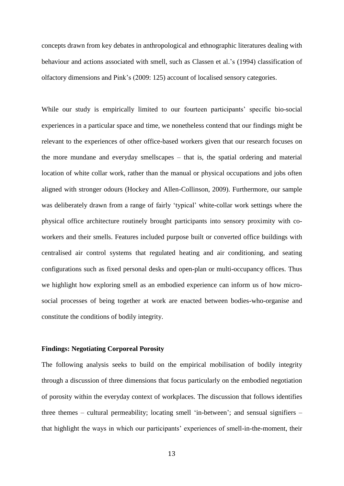concepts drawn from key debates in anthropological and ethnographic literatures dealing with behaviour and actions associated with smell, such as Classen et al.'s (1994) classification of olfactory dimensions and Pink's (2009: 125) account of localised sensory categories.

While our study is empirically limited to our fourteen participants' specific bio-social experiences in a particular space and time, we nonetheless contend that our findings might be relevant to the experiences of other office-based workers given that our research focuses on the more mundane and everyday smellscapes – that is, the spatial ordering and material location of white collar work, rather than the manual or physical occupations and jobs often aligned with stronger odours (Hockey and Allen-Collinson, 2009). Furthermore, our sample was deliberately drawn from a range of fairly 'typical' white-collar work settings where the physical office architecture routinely brought participants into sensory proximity with coworkers and their smells. Features included purpose built or converted office buildings with centralised air control systems that regulated heating and air conditioning, and seating configurations such as fixed personal desks and open-plan or multi-occupancy offices. Thus we highlight how exploring smell as an embodied experience can inform us of how microsocial processes of being together at work are enacted between bodies-who-organise and constitute the conditions of bodily integrity.

## **Findings: Negotiating Corporeal Porosity**

The following analysis seeks to build on the empirical mobilisation of bodily integrity through a discussion of three dimensions that focus particularly on the embodied negotiation of porosity within the everyday context of workplaces. The discussion that follows identifies three themes – cultural permeability; locating smell 'in-between'; and sensual signifiers – that highlight the ways in which our participants' experiences of smell-in-the-moment, their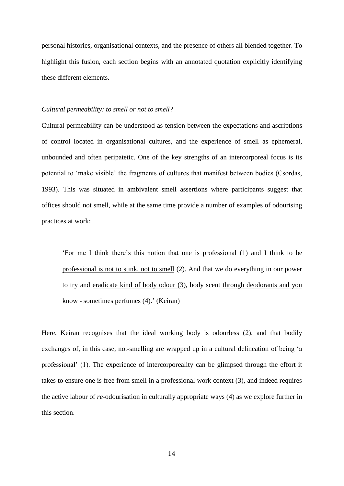personal histories, organisational contexts, and the presence of others all blended together. To highlight this fusion, each section begins with an annotated quotation explicitly identifying these different elements.

#### *Cultural permeability: to smell or not to smell?*

Cultural permeability can be understood as tension between the expectations and ascriptions of control located in organisational cultures, and the experience of smell as ephemeral, unbounded and often peripatetic. One of the key strengths of an intercorporeal focus is its potential to 'make visible' the fragments of cultures that manifest between bodies (Csordas, 1993). This was situated in ambivalent smell assertions where participants suggest that offices should not smell, while at the same time provide a number of examples of odourising practices at work:

'For me I think there's this notion that one is professional (1) and I think to be professional is not to stink, not to smell (2). And that we do everything in our power to try and eradicate kind of body odour (3), body scent through deodorants and you know - sometimes perfumes (4).' (Keiran)

Here, Keiran recognises that the ideal working body is odourless (2), and that bodily exchanges of, in this case, not-smelling are wrapped up in a cultural delineation of being 'a professional' (1). The experience of intercorporeality can be glimpsed through the effort it takes to ensure one is free from smell in a professional work context (3), and indeed requires the active labour of *re-*odourisation in culturally appropriate ways (4) as we explore further in this section.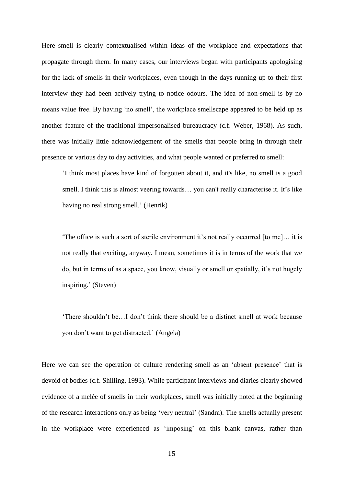Here smell is clearly contextualised within ideas of the workplace and expectations that propagate through them. In many cases, our interviews began with participants apologising for the lack of smells in their workplaces, even though in the days running up to their first interview they had been actively trying to notice odours. The idea of non-smell is by no means value free. By having 'no smell', the workplace smellscape appeared to be held up as another feature of the traditional impersonalised bureaucracy (c.f. Weber, 1968). As such, there was initially little acknowledgement of the smells that people bring in through their presence or various day to day activities, and what people wanted or preferred to smell:

'I think most places have kind of forgotten about it, and it's like, no smell is a good smell. I think this is almost veering towards… you can't really characterise it. It's like having no real strong smell.' (Henrik)

'The office is such a sort of sterile environment it's not really occurred [to me]… it is not really that exciting, anyway. I mean, sometimes it is in terms of the work that we do, but in terms of as a space, you know, visually or smell or spatially, it's not hugely inspiring.' (Steven)

'There shouldn't be…I don't think there should be a distinct smell at work because you don't want to get distracted.' (Angela)

Here we can see the operation of culture rendering smell as an 'absent presence' that is devoid of bodies (c.f. Shilling, 1993). While participant interviews and diaries clearly showed evidence of a melée of smells in their workplaces, smell was initially noted at the beginning of the research interactions only as being 'very neutral' (Sandra). The smells actually present in the workplace were experienced as 'imposing' on this blank canvas, rather than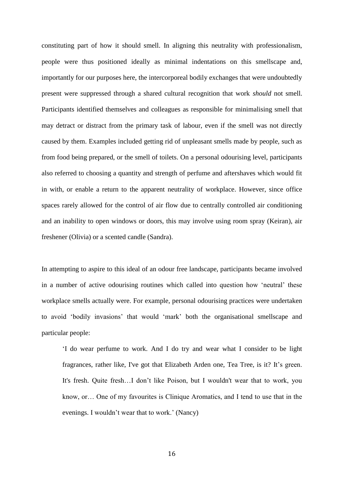constituting part of how it should smell. In aligning this neutrality with professionalism, people were thus positioned ideally as minimal indentations on this smellscape and, importantly for our purposes here, the intercorporeal bodily exchanges that were undoubtedly present were suppressed through a shared cultural recognition that work *should* not smell. Participants identified themselves and colleagues as responsible for minimalising smell that may detract or distract from the primary task of labour, even if the smell was not directly caused by them. Examples included getting rid of unpleasant smells made by people, such as from food being prepared, or the smell of toilets. On a personal odourising level, participants also referred to choosing a quantity and strength of perfume and aftershaves which would fit in with, or enable a return to the apparent neutrality of workplace. However, since office spaces rarely allowed for the control of air flow due to centrally controlled air conditioning and an inability to open windows or doors, this may involve using room spray (Keiran), air freshener (Olivia) or a scented candle (Sandra).

In attempting to aspire to this ideal of an odour free landscape, participants became involved in a number of active odourising routines which called into question how 'neutral' these workplace smells actually were. For example, personal odourising practices were undertaken to avoid 'bodily invasions' that would 'mark' both the organisational smellscape and particular people:

'I do wear perfume to work. And I do try and wear what I consider to be light fragrances, rather like, I've got that Elizabeth Arden one, Tea Tree, is it? It's green. It's fresh. Quite fresh…I don't like Poison, but I wouldn't wear that to work, you know, or… One of my favourites is Clinique Aromatics, and I tend to use that in the evenings. I wouldn't wear that to work.' (Nancy)

16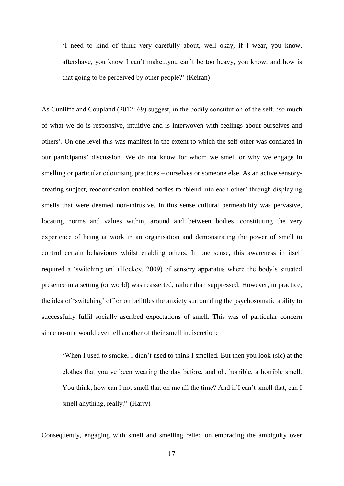'I need to kind of think very carefully about, well okay, if I wear, you know, aftershave, you know I can't make...you can't be too heavy, you know, and how is that going to be perceived by other people?' (Keiran)

As Cunliffe and Coupland (2012: 69) suggest, in the bodily constitution of the self, 'so much of what we do is responsive, intuitive and is interwoven with feelings about ourselves and others'. On one level this was manifest in the extent to which the self-other was conflated in our participants' discussion. We do not know for whom we smell or why we engage in smelling or particular odourising practices – ourselves or someone else. As an active sensorycreating subject, reodourisation enabled bodies to 'blend into each other' through displaying smells that were deemed non-intrusive. In this sense cultural permeability was pervasive, locating norms and values within, around and between bodies, constituting the very experience of being at work in an organisation and demonstrating the power of smell to control certain behaviours whilst enabling others. In one sense, this awareness in itself required a 'switching on' (Hockey, 2009) of sensory apparatus where the body's situated presence in a setting (or world) was reasserted, rather than suppressed. However, in practice, the idea of 'switching' off or on belittles the anxiety surrounding the psychosomatic ability to successfully fulfil socially ascribed expectations of smell. This was of particular concern since no-one would ever tell another of their smell indiscretion:

'When I used to smoke, I didn't used to think I smelled. But then you look (sic) at the clothes that you've been wearing the day before, and oh, horrible, a horrible smell. You think, how can I not smell that on me all the time? And if I can't smell that, can I smell anything, really?' (Harry)

Consequently, engaging with smell and smelling relied on embracing the ambiguity over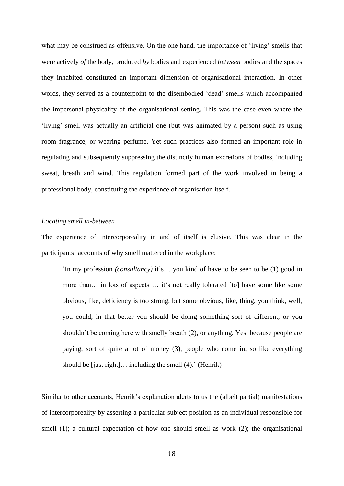what may be construed as offensive. On the one hand, the importance of 'living' smells that were actively *of* the body, produced *by* bodies and experienced *between* bodies and the spaces they inhabited constituted an important dimension of organisational interaction. In other words, they served as a counterpoint to the disembodied 'dead' smells which accompanied the impersonal physicality of the organisational setting. This was the case even where the 'living' smell was actually an artificial one (but was animated by a person) such as using room fragrance, or wearing perfume. Yet such practices also formed an important role in regulating and subsequently suppressing the distinctly human excretions of bodies, including sweat, breath and wind. This regulation formed part of the work involved in being a professional body, constituting the experience of organisation itself.

## *Locating smell in-between*

The experience of intercorporeality in and of itself is elusive. This was clear in the participants' accounts of why smell mattered in the workplace:

'In my profession *(consultancy)* it's… you kind of have to be seen to be (1) good in more than… in lots of aspects … it's not really tolerated [to] have some like some obvious, like, deficiency is too strong, but some obvious, like, thing, you think, well, you could, in that better you should be doing something sort of different, or you shouldn't be coming here with smelly breath (2), or anything. Yes, because people are paying, sort of quite a lot of money (3), people who come in, so like everything should be [just right]… including the smell (4).' (Henrik)

Similar to other accounts, Henrik's explanation alerts to us the (albeit partial) manifestations of intercorporeality by asserting a particular subject position as an individual responsible for smell (1); a cultural expectation of how one should smell as work (2); the organisational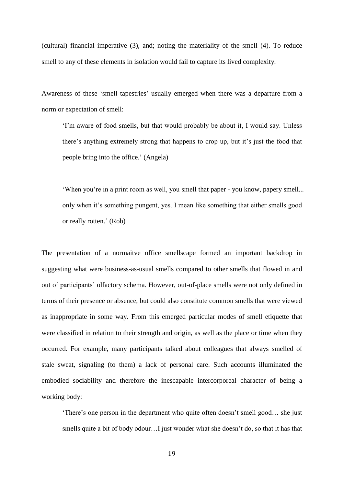(cultural) financial imperative (3), and; noting the materiality of the smell (4). To reduce smell to any of these elements in isolation would fail to capture its lived complexity.

Awareness of these 'smell tapestries' usually emerged when there was a departure from a norm or expectation of smell:

'I'm aware of food smells, but that would probably be about it, I would say. Unless there's anything extremely strong that happens to crop up, but it's just the food that people bring into the office.' (Angela)

'When you're in a print room as well, you smell that paper - you know, papery smell... only when it's something pungent, yes. I mean like something that either smells good or really rotten.' (Rob)

The presentation of a normaitve office smellscape formed an important backdrop in suggesting what were business-as-usual smells compared to other smells that flowed in and out of participants' olfactory schema. However, out-of-place smells were not only defined in terms of their presence or absence, but could also constitute common smells that were viewed as inappropriate in some way. From this emerged particular modes of smell etiquette that were classified in relation to their strength and origin, as well as the place or time when they occurred. For example, many participants talked about colleagues that always smelled of stale sweat, signaling (to them) a lack of personal care. Such accounts illuminated the embodied sociability and therefore the inescapable intercorporeal character of being a working body:

'There's one person in the department who quite often doesn't smell good… she just smells quite a bit of body odour…I just wonder what she doesn't do, so that it has that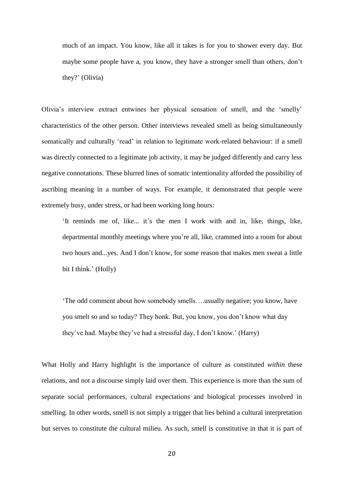much of an impact. You know, like all it takes is for you to shower every day. But maybe some people have a, you know, they have a stronger smell than others, don't they?' (Olivia)

Olivia's interview extract entwines her physical sensation of smell, and the 'smelly' characteristics of the other person. Other interviews revealed smell as being simultaneously somatically and culturally 'read' in relation to legitimate work-related behaviour: if a smell was directly connected to a legitimate job activity, it may be judged differently and carry less negative connotations. These blurred lines of somatic intentionality afforded the possibility of ascribing meaning in a number of ways. For example, it demonstrated that people were extremely busy, under stress, or had been working long hours:

'It reminds me of, like... it's the men I work with and in, like, things, like, departmental monthly meetings where you're all, like, crammed into a room for about two hours and...yes. And I don't know, for some reason that makes men sweat a little bit I think.' (Holly)

'The odd comment about how somebody smells….usually negative; you know, have you smelt so and so today? They honk. But, you know, you don't know what day they've had. Maybe they've had a stressful day, I don't know.' (Harry)

What Holly and Harry highlight is the importance of culture as constituted *within* these relations, and not a discourse simply laid over them. This experience is more than the sum of separate social performances, cultural expectations and biological processes involved in smelling. In other words, smell is not simply a trigger that lies behind a cultural interpretation but serves to constitute the cultural milieu. As such, smell is constitutive in that it is part of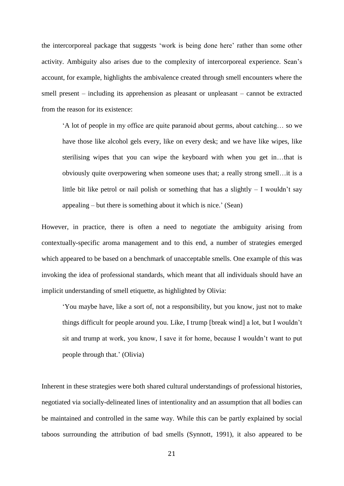the intercorporeal package that suggests 'work is being done here' rather than some other activity. Ambiguity also arises due to the complexity of intercorporeal experience. Sean's account, for example, highlights the ambivalence created through smell encounters where the smell present – including its apprehension as pleasant or unpleasant – cannot be extracted from the reason for its existence:

'A lot of people in my office are quite paranoid about germs, about catching… so we have those like alcohol gels every, like on every desk; and we have like wipes, like sterilising wipes that you can wipe the keyboard with when you get in…that is obviously quite overpowering when someone uses that; a really strong smell…it is a little bit like petrol or nail polish or something that has a slightly  $-1$  wouldn't say appealing – but there is something about it which is nice.' (Sean)

However, in practice, there is often a need to negotiate the ambiguity arising from contextually-specific aroma management and to this end, a number of strategies emerged which appeared to be based on a benchmark of unacceptable smells. One example of this was invoking the idea of professional standards, which meant that all individuals should have an implicit understanding of smell etiquette, as highlighted by Olivia:

'You maybe have, like a sort of, not a responsibility, but you know, just not to make things difficult for people around you. Like, I trump [break wind] a lot, but I wouldn't sit and trump at work, you know, I save it for home, because I wouldn't want to put people through that.' (Olivia)

Inherent in these strategies were both shared cultural understandings of professional histories, negotiated via socially-delineated lines of intentionality and an assumption that all bodies can be maintained and controlled in the same way. While this can be partly explained by social taboos surrounding the attribution of bad smells (Synnott, 1991), it also appeared to be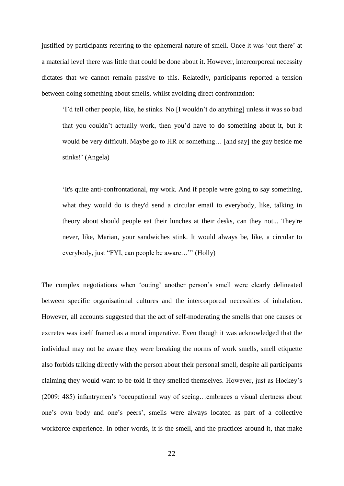justified by participants referring to the ephemeral nature of smell. Once it was 'out there' at a material level there was little that could be done about it. However, intercorporeal necessity dictates that we cannot remain passive to this. Relatedly, participants reported a tension between doing something about smells, whilst avoiding direct confrontation:

'I'd tell other people, like, he stinks. No [I wouldn't do anything] unless it was so bad that you couldn't actually work, then you'd have to do something about it, but it would be very difficult. Maybe go to HR or something… [and say] the guy beside me stinks!' (Angela)

'It's quite anti-confrontational, my work. And if people were going to say something, what they would do is they'd send a circular email to everybody, like, talking in theory about should people eat their lunches at their desks, can they not... They're never, like, Marian, your sandwiches stink. It would always be, like, a circular to everybody, just "FYI, can people be aware…"' (Holly)

The complex negotiations when 'outing' another person's smell were clearly delineated between specific organisational cultures and the intercorporeal necessities of inhalation. However, all accounts suggested that the act of self-moderating the smells that one causes or excretes was itself framed as a moral imperative. Even though it was acknowledged that the individual may not be aware they were breaking the norms of work smells, smell etiquette also forbids talking directly with the person about their personal smell, despite all participants claiming they would want to be told if they smelled themselves. However, just as Hockey's (2009: 485) infantrymen's 'occupational way of seeing…embraces a visual alertness about one's own body and one's peers', smells were always located as part of a collective workforce experience. In other words, it is the smell, and the practices around it, that make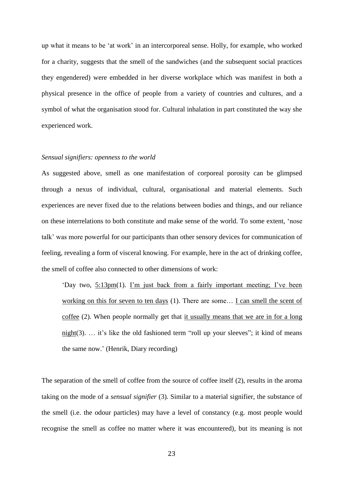up what it means to be 'at work' in an intercorporeal sense. Holly, for example, who worked for a charity, suggests that the smell of the sandwiches (and the subsequent social practices they engendered) were embedded in her diverse workplace which was manifest in both a physical presence in the office of people from a variety of countries and cultures, and a symbol of what the organisation stood for. Cultural inhalation in part constituted the way she experienced work.

#### *Sensual signifiers: openness to the world*

As suggested above, smell as one manifestation of corporeal porosity can be glimpsed through a nexus of individual, cultural, organisational and material elements. Such experiences are never fixed due to the relations between bodies and things, and our reliance on these interrelations to both constitute and make sense of the world. To some extent, 'nose talk' was more powerful for our participants than other sensory devices for communication of feeling, revealing a form of visceral knowing. For example, here in the act of drinking coffee, the smell of coffee also connected to other dimensions of work:

'Day two, 5:13pm(1). I'm just back from a fairly important meeting; I've been working on this for seven to ten days (1). There are some… I can smell the scent of coffee (2). When people normally get that it usually means that we are in for a long  $night(3)$ .  $\ldots$  it's like the old fashioned term "roll up your sleeves"; it kind of means the same now.' (Henrik, Diary recording)

The separation of the smell of coffee from the source of coffee itself (2), results in the aroma taking on the mode of a *sensual signifier* (3)*.* Similar to a material signifier, the substance of the smell (i.e. the odour particles) may have a level of constancy (e.g. most people would recognise the smell as coffee no matter where it was encountered), but its meaning is not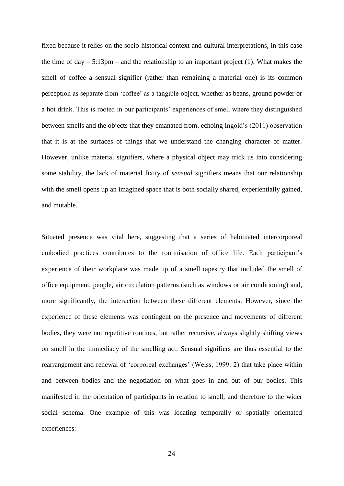fixed because it relies on the socio-historical context and cultural interpretations, in this case the time of  $day - 5:13pm -$  and the relationship to an important project (1). What makes the smell of coffee a sensual signifier (rather than remaining a material one) is its common perception as separate from 'coffee' as a tangible object, whether as beans, ground powder or a hot drink. This is rooted in our participants' experiences of smell where they distinguished between smells and the objects that they emanated from, echoing Ingold's (2011) observation that it is at the surfaces of things that we understand the changing character of matter. However, unlike material signifiers, where a physical object may trick us into considering some stability, the lack of material fixity of *sensual* signifiers means that our relationship with the smell opens up an imagined space that is both socially shared, experientially gained, and mutable.

Situated presence was vital here, suggesting that a series of habituated intercorporeal embodied practices contributes to the routinisation of office life. Each participant's experience of their workplace was made up of a smell tapestry that included the smell of office equipment, people, air circulation patterns (such as windows or air conditioning) and, more significantly, the interaction between these different elements. However, since the experience of these elements was contingent on the presence and movements of different bodies, they were not repetitive routines, but rather recursive, always slightly shifting views on smell in the immediacy of the smelling act. Sensual signifiers are thus essential to the rearrangement and renewal of 'corporeal exchanges' (Weiss, 1999: 2) that take place within and between bodies and the negotiation on what goes in and out of our bodies. This manifested in the orientation of participants in relation to smell, and therefore to the wider social schema. One example of this was locating temporally or spatially orientated experiences: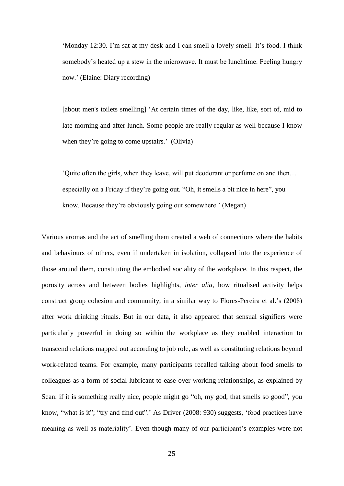'Monday 12:30. I'm sat at my desk and I can smell a lovely smell. It's food. I think somebody's heated up a stew in the microwave. It must be lunchtime. Feeling hungry now.' (Elaine: Diary recording)

[about men's toilets smelling] 'At certain times of the day, like, like, sort of, mid to late morning and after lunch. Some people are really regular as well because I know when they're going to come upstairs.' (Olivia)

'Quite often the girls, when they leave, will put deodorant or perfume on and then… especially on a Friday if they're going out. "Oh, it smells a bit nice in here", you know. Because they're obviously going out somewhere.' (Megan)

Various aromas and the act of smelling them created a web of connections where the habits and behaviours of others, even if undertaken in isolation, collapsed into the experience of those around them, constituting the embodied sociality of the workplace. In this respect, the porosity across and between bodies highlights, *inter alia*, how ritualised activity helps construct group cohesion and community, in a similar way to Flores-Pereira et al.'s (2008) after work drinking rituals. But in our data, it also appeared that sensual signifiers were particularly powerful in doing so within the workplace as they enabled interaction to transcend relations mapped out according to job role, as well as constituting relations beyond work-related teams. For example, many participants recalled talking about food smells to colleagues as a form of social lubricant to ease over working relationships, as explained by Sean: if it is something really nice, people might go "oh, my god, that smells so good", you know, "what is it"; "try and find out".' As Driver (2008: 930) suggests, 'food practices have meaning as well as materiality'. Even though many of our participant's examples were not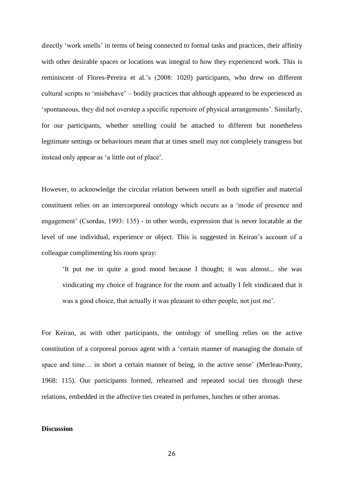directly 'work smells' in terms of being connected to formal tasks and practices, their affinity with other desirable spaces or locations was integral to how they experienced work. This is reminiscent of Flores-Pereira et al.'s (2008: 1020) participants, who drew on different cultural scripts to 'misbehave' – bodily practices that although appeared to be experienced as 'spontaneous, they did not overstep a specific repertoire of physical arrangements'. Similarly, for our participants, whether smelling could be attached to different but nonetheless legitimate settings or behaviours meant that at times smell may not completely transgress but instead only appear as 'a little out of place'.

However, to acknowledge the circular relation between smell as both signifier and material constituent relies on an intercorporeal ontology which occurs as a 'mode of presence and engagement' (Csordas, 1993: 135) - in other words, expression that is never locatable at the level of one individual, experience or object. This is suggested in Keiran's account of a colleague complimenting his room spray:

'It put me in quite a good mood because I thought; it was almost... she was vindicating my choice of fragrance for the room and actually I felt vindicated that it was a good choice, that actually it was pleasant to other people, not just me'.

For Keiran, as with other participants, the ontology of smelling relies on the active constitution of a corporeal porous agent with a 'certain manner of managing the domain of space and time… in short a certain manner of being, in the active sense' (Merleau-Ponty, 1968: 115). Our participants formed, rehearsed and repeated social ties through these relations, embedded in the affective ties created in perfumes, lunches or other aromas.

## **Discussion**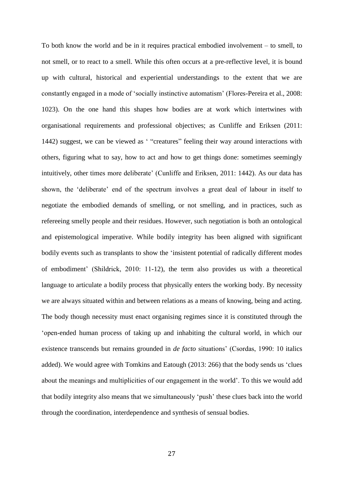To both know the world and be in it requires practical embodied involvement – to smell, to not smell, or to react to a smell. While this often occurs at a pre-reflective level, it is bound up with cultural, historical and experiential understandings to the extent that we are constantly engaged in a mode of 'socially instinctive automatism' (Flores-Pereira et al., 2008: 1023). On the one hand this shapes how bodies are at work which intertwines with organisational requirements and professional objectives; as Cunliffe and Eriksen (2011: 1442) suggest, we can be viewed as ' "creatures" feeling their way around interactions with others, figuring what to say, how to act and how to get things done: sometimes seemingly intuitively, other times more deliberate' (Cunliffe and Eriksen, 2011: 1442). As our data has shown, the 'deliberate' end of the spectrum involves a great deal of labour in itself to negotiate the embodied demands of smelling, or not smelling, and in practices, such as refereeing smelly people and their residues. However, such negotiation is both an ontological and epistemological imperative. While bodily integrity has been aligned with significant bodily events such as transplants to show the 'insistent potential of radically different modes of embodiment' (Shildrick, 2010: 11-12), the term also provides us with a theoretical language to articulate a bodily process that physically enters the working body. By necessity we are always situated within and between relations as a means of knowing, being and acting. The body though necessity must enact organising regimes since it is constituted through the 'open-ended human process of taking up and inhabiting the cultural world, in which our existence transcends but remains grounded in *de facto* situations' (Csordas, 1990: 10 italics added). We would agree with Tomkins and Eatough (2013: 266) that the body sends us 'clues about the meanings and multiplicities of our engagement in the world'. To this we would add that bodily integrity also means that we simultaneously 'push' these clues back into the world through the coordination, interdependence and synthesis of sensual bodies.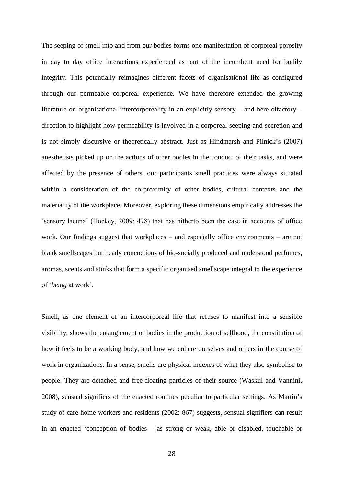The seeping of smell into and from our bodies forms one manifestation of corporeal porosity in day to day office interactions experienced as part of the incumbent need for bodily integrity. This potentially reimagines different facets of organisational life as configured through our permeable corporeal experience. We have therefore extended the growing literature on organisational intercorporeality in an explicitly sensory – and here olfactory – direction to highlight how permeability is involved in a corporeal seeping and secretion and is not simply discursive or theoretically abstract. Just as Hindmarsh and Pilnick's (2007) anesthetists picked up on the actions of other bodies in the conduct of their tasks, and were affected by the presence of others, our participants smell practices were always situated within a consideration of the co-proximity of other bodies, cultural contexts and the materiality of the workplace. Moreover, exploring these dimensions empirically addresses the 'sensory lacuna' (Hockey, 2009: 478) that has hitherto been the case in accounts of office work. Our findings suggest that workplaces – and especially office environments – are not blank smellscapes but heady concoctions of bio-socially produced and understood perfumes, aromas, scents and stinks that form a specific organised smellscape integral to the experience of '*being* at work'.

Smell, as one element of an intercorporeal life that refuses to manifest into a sensible visibility, shows the entanglement of bodies in the production of selfhood, the constitution of how it feels to be a working body, and how we cohere ourselves and others in the course of work in organizations. In a sense, smells are physical indexes of what they also symbolise to people. They are detached and free-floating particles of their source (Waskul and Vannini, 2008), sensual signifiers of the enacted routines peculiar to particular settings. As Martin's study of care home workers and residents (2002: 867) suggests, sensual signifiers can result in an enacted 'conception of bodies – as strong or weak, able or disabled, touchable or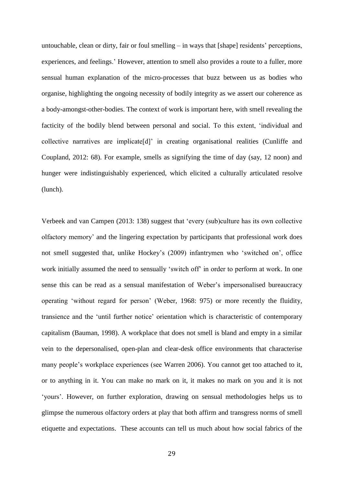untouchable, clean or dirty, fair or foul smelling – in ways that [shape] residents' perceptions, experiences, and feelings.' However, attention to smell also provides a route to a fuller, more sensual human explanation of the micro-processes that buzz between us as bodies who organise, highlighting the ongoing necessity of bodily integrity as we assert our coherence as a body-amongst-other-bodies. The context of work is important here, with smell revealing the facticity of the bodily blend between personal and social. To this extent, 'individual and collective narratives are implicate[d]' in creating organisational realities (Cunliffe and Coupland, 2012: 68). For example, smells as signifying the time of day (say, 12 noon) and hunger were indistinguishably experienced, which elicited a culturally articulated resolve (lunch).

Verbeek and van Campen (2013: 138) suggest that 'every (sub)culture has its own collective olfactory memory' and the lingering expectation by participants that professional work does not smell suggested that, unlike Hockey's (2009) infantrymen who 'switched on', office work initially assumed the need to sensually 'switch off' in order to perform at work. In one sense this can be read as a sensual manifestation of Weber's impersonalised bureaucracy operating 'without regard for person' (Weber, 1968: 975) or more recently the fluidity, transience and the 'until further notice' orientation which is characteristic of contemporary capitalism (Bauman, 1998). A workplace that does not smell is bland and empty in a similar vein to the depersonalised, open-plan and clear-desk office environments that characterise many people's workplace experiences (see Warren 2006). You cannot get too attached to it, or to anything in it. You can make no mark on it, it makes no mark on you and it is not 'yours'. However, on further exploration, drawing on sensual methodologies helps us to glimpse the numerous olfactory orders at play that both affirm and transgress norms of smell etiquette and expectations. These accounts can tell us much about how social fabrics of the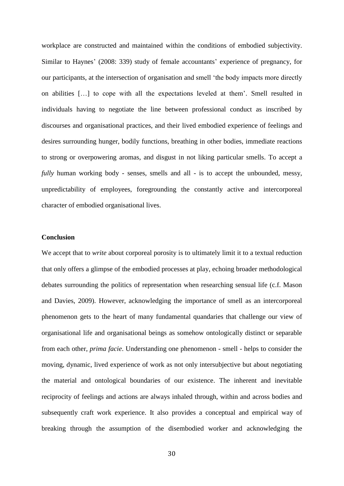workplace are constructed and maintained within the conditions of embodied subjectivity. Similar to Haynes' (2008: 339) study of female accountants' experience of pregnancy, for our participants, at the intersection of organisation and smell 'the body impacts more directly on abilities […] to cope with all the expectations leveled at them'. Smell resulted in individuals having to negotiate the line between professional conduct as inscribed by discourses and organisational practices, and their lived embodied experience of feelings and desires surrounding hunger, bodily functions, breathing in other bodies, immediate reactions to strong or overpowering aromas, and disgust in not liking particular smells. To accept a *fully* human working body - senses, smells and all - is to accept the unbounded, messy, unpredictability of employees, foregrounding the constantly active and intercorporeal character of embodied organisational lives.

# **Conclusion**

We accept that to *write* about corporeal porosity is to ultimately limit it to a textual reduction that only offers a glimpse of the embodied processes at play, echoing broader methodological debates surrounding the politics of representation when researching sensual life (c.f. Mason and Davies, 2009). However, acknowledging the importance of smell as an intercorporeal phenomenon gets to the heart of many fundamental quandaries that challenge our view of organisational life and organisational beings as somehow ontologically distinct or separable from each other, *prima facie*. Understanding one phenomenon - smell - helps to consider the moving, dynamic, lived experience of work as not only intersubjective but about negotiating the material and ontological boundaries of our existence. The inherent and inevitable reciprocity of feelings and actions are always inhaled through, within and across bodies and subsequently craft work experience. It also provides a conceptual and empirical way of breaking through the assumption of the disembodied worker and acknowledging the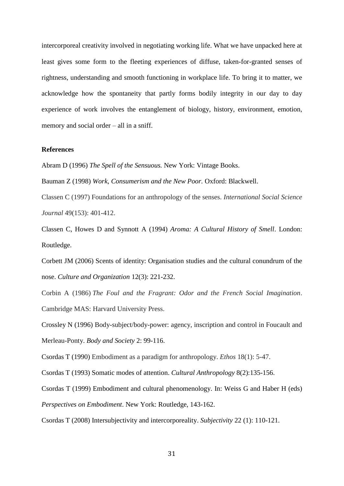intercorporeal creativity involved in negotiating working life. What we have unpacked here at least gives some form to the fleeting experiences of diffuse, taken-for-granted senses of rightness, understanding and smooth functioning in workplace life. To bring it to matter, we acknowledge how the spontaneity that partly forms bodily integrity in our day to day experience of work involves the entanglement of biology, history, environment, emotion, memory and social order – all in a sniff.

## **References**

Abram D (1996) *The Spell of the Sensuous.* New York: Vintage Books.

Bauman Z (1998) *Work, Consumerism and the New Poor.* Oxford: Blackwell.

Classen C (1997) Foundations for an anthropology of the senses. *International Social Science Journal* 49(153): 401-412.

Classen C, Howes D and Synnott A (1994) *Aroma: A Cultural History of Smell*. London: Routledge.

Corbett JM (2006) Scents of identity: Organisation studies and the cultural conundrum of the nose. *Culture and Organization* 12(3): 221-232.

Corbin A (1986) *The Foul and the Fragrant: Odor and the French Social Imagination*. Cambridge MAS: Harvard University Press.

Crossley N (1996) Body-subject/body-power: agency, inscription and control in Foucault and Merleau-Ponty. *Body and Society* 2: 99-116.

Csordas T (1990) Embodiment as a paradigm for anthropology. *Ethos* 18(1): 5-47.

Csordas T (1993) Somatic modes of attention. *Cultural Anthropology* 8(2):135-156.

Csordas T (1999) Embodiment and cultural phenomenology. In: Weiss G and Haber H (eds) *Perspectives on Embodiment*. New York: Routledge, 143-162.

Csordas T (2008) Intersubjectivity and intercorporeality. *Subjectivity* 22 (1): 110-121.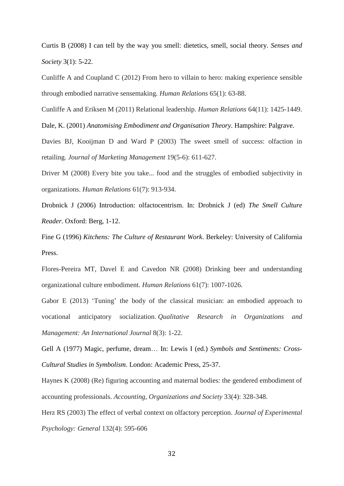Curtis B (2008) I can tell by the way you smell: dietetics, smell, social theory. *Senses and Society* 3(1): 5-22.

Cunliffe A and Coupland C (2012) From hero to villain to hero: making experience sensible through embodied narrative sensemaking. *Human Relations* 65(1): 63-88.

Cunliffe A and Eriksen M (2011) Relational leadership. *Human Relations* 64(11): 1425-1449.

Dale, K. (2001) *Anatomising Embodiment and Organisation Theory*. Hampshire: Palgrave.

Davies BJ, Kooijman D and Ward P (2003) The sweet smell of success: olfaction in retailing. *Journal of Marketing Management* 19(5-6): 611-627.

Driver M (2008) Every bite you take... food and the struggles of embodied subjectivity in organizations. *Human Relations* 61(7): 913-934.

Drobnick J (2006) Introduction: olfactocentrism. In: Drobnick J (ed) *The Smell Culture Reader.* Oxford: Berg, 1-12.

Fine G (1996) *Kitchens: The Culture of Restaurant Work*. Berkeley: University of California Press.

Flores-Pereira MT, Davel E and Cavedon NR (2008) Drinking beer and understanding organizational culture embodiment. *Human Relations* 61(7): 1007-1026.

Gabor E (2013) 'Tuning' the body of the classical musician: an embodied approach to vocational anticipatory socialization. *Qualitative Research in Organizations and Management: An International Journal* 8(3): 1-22.

Gell A (1977) Magic, perfume, dream… In: Lewis I (ed.) *Symbols and Sentiments: Cross-Cultural Studies in Symbolism*. London: Academic Press, 25-37.

Haynes K (2008) (Re) figuring accounting and maternal bodies: the gendered embodiment of accounting professionals. *Accounting, Organizations and Society* 33(4): 328-348.

Herz RS (2003) The effect of verbal context on olfactory perception. *Journal of Experimental Psychology: General* 132(4): 595-606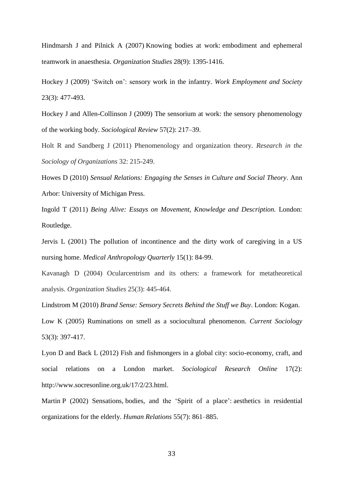Hindmarsh J and Pilnick A (2007) Knowing bodies at work: embodiment and ephemeral teamwork in anaesthesia. *Organization Studies* 28(9): 1395-1416.

Hockey J (2009) 'Switch on': sensory work in the infantry. *Work Employment and Society* 23(3): 477-493.

Hockey J and Allen-Collinson J (2009) The sensorium at work: the sensory phenomenology of the working body. *Sociological Review* 57(2): 217–39.

Holt R and Sandberg J (2011) Phenomenology and organization theory. *Research in the Sociology of Organizations* 32: 215-249.

Howes D (2010) *Sensual Relations: Engaging the Senses in Culture and Social Theory*. Ann Arbor: University of Michigan Press.

Ingold T (2011) *Being Alive: Essays on Movement, Knowledge and Description.* London: Routledge.

Jervis L (2001) The pollution of incontinence and the dirty work of caregiving in a US nursing home. *Medical Anthropology Quarterly* 15(1): 84-99.

Kavanagh D (2004) Ocularcentrism and its others: a framework for metatheoretical analysis. *Organization Studies* 25(3): 445-464.

Lindstrom M (2010) *Brand Sense: Sensory Secrets Behind the Stuff we Buy*. London: Kogan.

Low K (2005) Ruminations on smell as a sociocultural phenomenon. *Current Sociology*  53(3): 397-417.

Lyon D and Back L (2012) Fish and fishmongers in a global city: socio-economy, craft, and social relations on a London market. *Sociological Research Online* 17(2): http://www.socresonline.org.uk/17/2/23.html.

Martin P (2002) Sensations, bodies, and the 'Spirit of a place': aesthetics in residential organizations for the elderly. *Human Relations* 55(7): 861–885.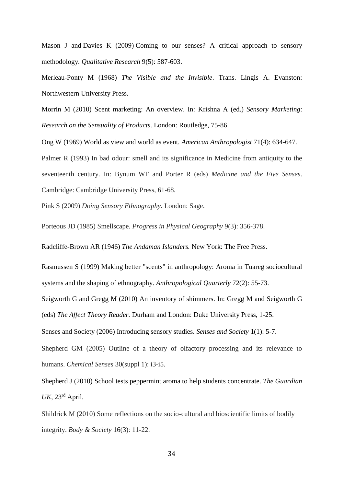Mason J and Davies K (2009) Coming to our senses? A critical approach to sensory methodology*. Qualitative Research* 9(5): 587-603.

Merleau-Ponty M (1968) *The Visible and the Invisible*. Trans. Lingis A. Evanston: Northwestern University Press.

Morrin M (2010) Scent marketing: An overview. In: Krishna A (ed.) *Sensory Marketing*: *Research on the Sensuality of Products*. London: Routledge, 75-86.

Ong W (1969) World as view and world as event*. American Anthropologist* 71(4): 634-647. Palmer R (1993) In bad odour: smell and its significance in Medicine from antiquity to the seventeenth century. In: Bynum WF and Porter R (eds) *Medicine and the Five Senses*. Cambridge: Cambridge University Press, 61-68.

Pink S (2009) *Doing Sensory Ethnography*. London: Sage.

Porteous JD (1985) Smellscape. *Progress in Physical Geography* 9(3): 356-378.

Radcliffe-Brown AR (1946) *The Andaman Islanders.* New York: The Free Press.

Rasmussen S (1999) Making better "scents" in anthropology: Aroma in Tuareg sociocultural systems and the shaping of ethnography. *Anthropological Quarterly* 72(2): 55-73.

Seigworth G and Gregg M (2010) An inventory of shimmers. In: Gregg M and Seigworth G (eds) *The Affect Theory Reader.* Durham and London: Duke University Press, 1-25.

Senses and Society (2006) Introducing sensory studies. *Senses and Society* 1(1): 5-7.

Shepherd GM (2005) Outline of a theory of olfactory processing and its relevance to humans. *Chemical Senses* 30(suppl 1): i3-i5.

Shepherd J (2010) School tests peppermint aroma to help students concentrate. *The Guardian UK,* 23rd April.

Shildrick M (2010) Some reflections on the socio-cultural and bioscientific limits of bodily integrity. *Body & Society* 16(3): 11-22.